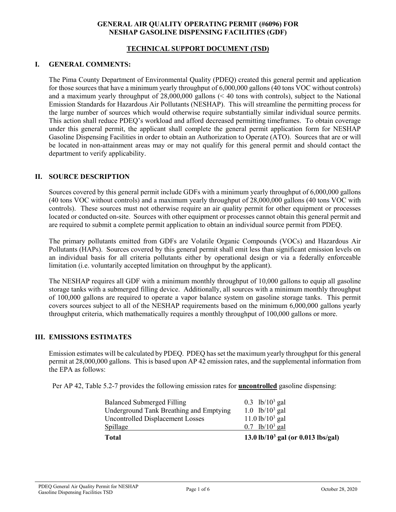### **GENERAL AIR QUALITY OPERATING PERMIT (#6096) FOR NESHAP GASOLINE DISPENSING FACILITIES (GDF)**

## **TECHNICAL SUPPORT DOCUMENT (TSD)**

### **I. GENERAL COMMENTS:**

The Pima County Department of Environmental Quality (PDEQ) created this general permit and application for those sources that have a minimum yearly throughput of 6,000,000 gallons (40 tons VOC without controls) and a maximum yearly throughput of 28,000,000 gallons (< 40 tons with controls), subject to the National Emission Standards for Hazardous Air Pollutants (NESHAP). This will streamline the permitting process for the large number of sources which would otherwise require substantially similar individual source permits. This action shall reduce PDEQ's workload and afford decreased permitting timeframes. To obtain coverage under this general permit, the applicant shall complete the general permit application form for NESHAP Gasoline Dispensing Facilities in order to obtain an Authorization to Operate (ATO). Sources that are or will be located in non-attainment areas may or may not qualify for this general permit and should contact the department to verify applicability.

## **II. SOURCE DESCRIPTION**

Sources covered by this general permit include GDFs with a minimum yearly throughput of 6,000,000 gallons (40 tons VOC without controls) and a maximum yearly throughput of 28,000,000 gallons (40 tons VOC with controls). These sources must not otherwise require an air quality permit for other equipment or processes located or conducted on-site. Sources with other equipment or processes cannot obtain this general permit and are required to submit a complete permit application to obtain an individual source permit from PDEQ.

The primary pollutants emitted from GDFs are Volatile Organic Compounds (VOCs) and Hazardous Air Pollutants (HAPs). Sources covered by this general permit shall emit less than significant emission levels on an individual basis for all criteria pollutants either by operational design or via a federally enforceable limitation (i.e. voluntarily accepted limitation on throughput by the applicant).

The NESHAP requires all GDF with a minimum monthly throughput of 10,000 gallons to equip all gasoline storage tanks with a submerged filling device. Additionally, all sources with a minimum monthly throughput of 100,000 gallons are required to operate a vapor balance system on gasoline storage tanks. This permit covers sources subject to all of the NESHAP requirements based on the minimum 6,000,000 gallons yearly throughput criteria, which mathematically requires a monthly throughput of 100,000 gallons or more.

#### **III. EMISSIONS ESTIMATES**

Emission estimates will be calculated by PDEQ. PDEQ has set the maximum yearly throughput for this general permit at 28,000,000 gallons. This is based upon AP 42 emission rates, and the supplemental information from the EPA as follows:

Per AP 42, Table 5.2-7 provides the following emission rates for **uncontrolled** gasoline dispensing:

| <b>Total</b>                            | 13.0 lb/ $10^3$ gal (or 0.013 lbs/gal) |
|-----------------------------------------|----------------------------------------|
| <b>Spillage</b>                         | $0.7 \text{ lb}/10^3 \text{ gal}$      |
| Uncontrolled Displacement Losses        | $11.0$ lb/ $10^3$ gal                  |
| Underground Tank Breathing and Emptying | 1.0 $lb/10^3$ gal                      |
| <b>Balanced Submerged Filling</b>       | 0.3 lb/ $10^3$ gal                     |
|                                         |                                        |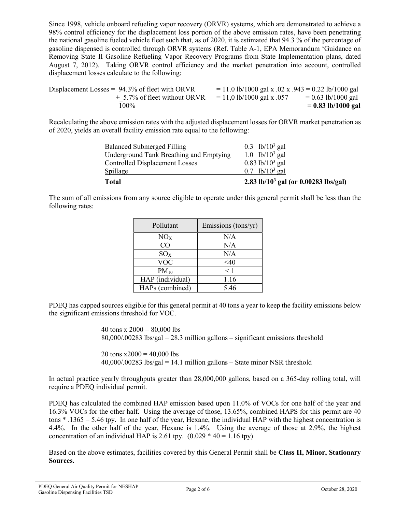Since 1998, vehicle onboard refueling vapor recovery (ORVR) systems, which are demonstrated to achieve a 98% control efficiency for the displacement loss portion of the above emission rates, have been penetrating the national gasoline fueled vehicle fleet such that, as of 2020, it is estimated that 94.3 % of the percentage of gasoline dispensed is controlled through ORVR systems (Ref. Table A-1, EPA Memorandum 'Guidance on Removing State II Gasoline Refueling Vapor Recovery Programs from State Implementation plans, dated August 7, 2012). Taking ORVR control efficiency and the market penetration into account, controlled displacement losses calculate to the following:

| 100%                                              | $= 0.83$ lb/1000 gal                                 |
|---------------------------------------------------|------------------------------------------------------|
| $+$ 5.7% of fleet without ORVR                    | $= 0.63$ lb/1000 gal<br>$= 11,0$ lb/1000 gal x .057  |
| Displacement Losses = $94.3\%$ of fleet with ORVR | $= 11.0$ lb/1000 gal x .02 x .943 = 0.22 lb/1000 gal |

Recalculating the above emission rates with the adjusted displacement losses for ORVR market penetration as of 2020, yields an overall facility emission rate equal to the following:

| 2.83 lb/ $10^3$ gal (or 0.00283 lbs/gal) |
|------------------------------------------|
| 0.7 lb/ $10^3$ gal                       |
| $0.83$ lb/ $10^3$ gal                    |
| 1.0 $lb/10^3$ gal                        |
| 0.3 lb/ $10^3$ gal                       |
|                                          |

The sum of all emissions from any source eligible to operate under this general permit shall be less than the following rates:

| Pollutant        | Emissions (tons/yr) |
|------------------|---------------------|
| NO <sub>X</sub>  | N/A                 |
| CO               | N/A                 |
| $SO_{X}$         | N/A                 |
| <b>VOC</b>       | $<$ 40              |
| $PM_{10}$        | $<$ 1               |
| HAP (individual) | 1.16                |
| HAPs (combined)  | 5.46                |

PDEQ has capped sources eligible for this general permit at 40 tons a year to keep the facility emissions below the significant emissions threshold for VOC.

> 40 tons x  $2000 = 80,000$  lbs 80,000/.00283 lbs/gal = 28.3 million gallons – significant emissions threshold

20 tons  $x2000 = 40,000$  lbs  $40,000/00283$  lbs/gal = 14.1 million gallons – State minor NSR threshold

In actual practice yearly throughputs greater than 28,000,000 gallons, based on a 365-day rolling total, will require a PDEQ individual permit.

PDEQ has calculated the combined HAP emission based upon 11.0% of VOCs for one half of the year and 16.3% VOCs for the other half. Using the average of those, 13.65%, combined HAPS for this permit are 40 tons \* .1365 = 5.46 tpy. In one half of the year, Hexane, the individual HAP with the highest concentration is 4.4%. In the other half of the year, Hexane is 1.4%. Using the average of those at 2.9%, the highest concentration of an individual HAP is 2.61 tpy.  $(0.029 * 40 = 1.16$  tpy)

Based on the above estimates, facilities covered by this General Permit shall be **Class II, Minor, Stationary Sources.**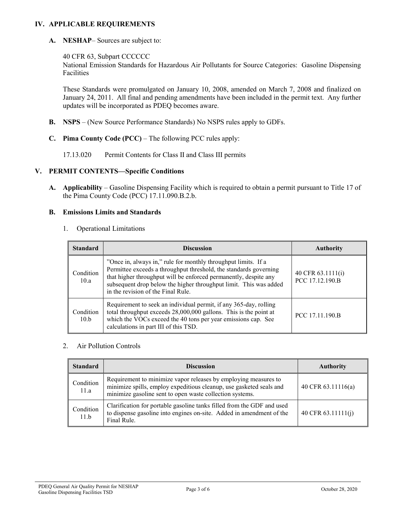## **IV. APPLICABLE REQUIREMENTS**

**A. NESHAP**– Sources are subject to:

40 CFR 63, Subpart CCCCCC

National Emission Standards for Hazardous Air Pollutants for Source Categories: Gasoline Dispensing Facilities

These Standards were promulgated on January 10, 2008, amended on March 7, 2008 and finalized on January 24, 2011. All final and pending amendments have been included in the permit text. Any further updates will be incorporated as PDEQ becomes aware.

- **B. NSPS** (New Source Performance Standards) No NSPS rules apply to GDFs.
- **C. Pima County Code (PCC)**  The following PCC rules apply:

17.13.020 Permit Contents for Class II and Class III permits

#### **V. PERMIT CONTENTS—Specific Conditions**

**A. Applicability** – Gasoline Dispensing Facility which is required to obtain a permit pursuant to Title 17 of the Pima County Code (PCC) 17.11.090.B.2.b.

#### **B. Emissions Limits and Standards**

1. Operational Limitations

| <b>Standard</b>   | <b>Discussion</b>                                                                                                                                                                                                                                                                                                  | <b>Authority</b>                     |
|-------------------|--------------------------------------------------------------------------------------------------------------------------------------------------------------------------------------------------------------------------------------------------------------------------------------------------------------------|--------------------------------------|
| Condition<br>10.a | "Once in, always in," rule for monthly throughput limits. If a<br>Permittee exceeds a throughput threshold, the standards governing<br>that higher throughput will be enforced permanently, despite any<br>subsequent drop below the higher throughput limit. This was added<br>in the revision of the Final Rule. | 40 CFR 63.1111(i)<br>PCC 17.12.190.B |
| Condition<br>10.b | Requirement to seek an individual permit, if any 365-day, rolling<br>total throughput exceeds 28,000,000 gallons. This is the point at<br>which the VOCs exceed the 40 tons per year emissions cap. See<br>calculations in part III of this TSD.                                                                   | PCC 17.11.190.B                      |

#### 2. Air Pollution Controls

| <b>Standard</b>   | <b>Discussion</b>                                                                                                                                                                                  | <b>Authority</b>     |
|-------------------|----------------------------------------------------------------------------------------------------------------------------------------------------------------------------------------------------|----------------------|
| Condition<br>11.a | Requirement to minimize vapor releases by employing measures to<br>minimize spills, employ expeditious cleanup, use gasketed seals and<br>minimize gasoline sent to open waste collection systems. | 40 CFR $63.11116(a)$ |
| Condition<br>11.b | Clarification for portable gasoline tanks filled from the GDF and used<br>to dispense gasoline into engines on-site. Added in amendment of the<br>Final Rule.                                      | 40 CFR $63.11111(i)$ |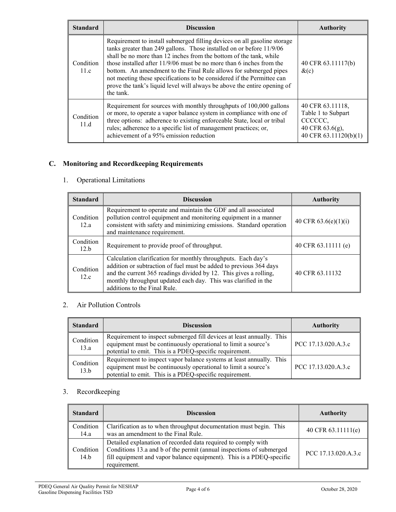| <b>Standard</b>   | <b>Discussion</b>                                                                                                                                                                                                                                                                                                                                                                                                                                                                                                                        | <b>Authority</b>                                                                              |
|-------------------|------------------------------------------------------------------------------------------------------------------------------------------------------------------------------------------------------------------------------------------------------------------------------------------------------------------------------------------------------------------------------------------------------------------------------------------------------------------------------------------------------------------------------------------|-----------------------------------------------------------------------------------------------|
| Condition<br>11.c | Requirement to install submerged filling devices on all gasoline storage<br>tanks greater than 249 gallons. Those installed on or before 11/9/06<br>shall be no more than 12 inches from the bottom of the tank, while<br>those installed after $11/9/06$ must be no more than 6 inches from the<br>bottom. An amendment to the Final Rule allows for submerged pipes<br>not meeting these specifications to be considered if the Permittee can<br>prove the tank's liquid level will always be above the entire opening of<br>the tank. | 40 CFR 63.11117(b)<br>$\&c)$                                                                  |
| Condition<br>11.d | Requirement for sources with monthly throughputs of 100,000 gallons<br>or more, to operate a vapor balance system in compliance with one of<br>three options: adherence to existing enforceable State, local or tribal<br>rules; adherence to a specific list of management practices; or,<br>achievement of a 95% emission reduction                                                                                                                                                                                                    | 40 CFR 63.11118,<br>Table 1 to Subpart<br>CCCCCC.<br>40 CFR 63.6(g),<br>40 CFR 63.11120(b)(1) |

## **C. Monitoring and Recordkeeping Requirements**

# 1. Operational Limitations

| <b>Standard</b>   | <b>Discussion</b>                                                                                                                                                                                                                                                                                          | <b>Authority</b>       |
|-------------------|------------------------------------------------------------------------------------------------------------------------------------------------------------------------------------------------------------------------------------------------------------------------------------------------------------|------------------------|
| Condition<br>12.a | Requirement to operate and maintain the GDF and all associated<br>pollution control equipment and monitoring equipment in a manner<br>consistent with safety and minimizing emissions. Standard operation<br>and maintenance requirement.                                                                  | 40 CFR $63.6(e)(1)(i)$ |
| Condition<br>12.b | Requirement to provide proof of throughput.                                                                                                                                                                                                                                                                | 40 CFR 63.11111 (e)    |
| Condition<br>12.c | Calculation clarification for monthly throughputs. Each day's<br>addition or subtraction of fuel must be added to previous 364 days<br>and the current 365 readings divided by 12. This gives a rolling,<br>monthly throughput updated each day. This was clarified in the<br>additions to the Final Rule. | 40 CFR 63.11132        |

## 2. Air Pollution Controls

| <b>Standard</b>   | <b>Discussion</b>                                                                                                                                                                                  | <b>Authority</b>    |
|-------------------|----------------------------------------------------------------------------------------------------------------------------------------------------------------------------------------------------|---------------------|
| Condition<br>13.a | Requirement to inspect submerged fill devices at least annually. This<br>equipment must be continuously operational to limit a source's<br>potential to emit. This is a PDEQ-specific requirement. | PCC 17.13.020.A.3.c |
| Condition<br>13.b | Requirement to inspect vapor balance systems at least annually. This<br>equipment must be continuously operational to limit a source's<br>potential to emit. This is a PDEQ-specific requirement.  | PCC 17.13.020.A.3.c |

# 3. Recordkeeping

| <b>Standard</b>   | <b>Discussion</b>                                                                                                                                                                                                             | <b>Authority</b>     |
|-------------------|-------------------------------------------------------------------------------------------------------------------------------------------------------------------------------------------------------------------------------|----------------------|
| Condition<br>14.a | Clarification as to when throughput documentation must begin. This<br>was an amendment to the Final Rule.                                                                                                                     | 40 CFR $63.11111(e)$ |
| Condition<br>14.b | Detailed explanation of recorded data required to comply with<br>Conditions 13.a and b of the permit (annual inspections of submerged<br>fill equipment and vapor balance equipment). This is a PDEQ-specific<br>requirement. | PCC 17.13.020.A.3.c  |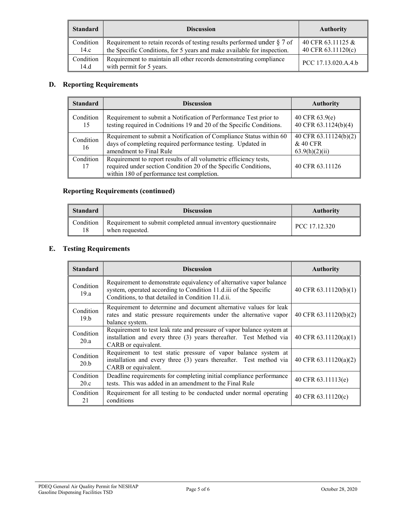| <b>Standard</b>   | <b>Discussion</b>                                                                                                                                     | <b>Authority</b>                        |
|-------------------|-------------------------------------------------------------------------------------------------------------------------------------------------------|-----------------------------------------|
| Condition<br>14.c | Requirement to retain records of testing results performed under $\S 7$ of<br>the Specific Conditions, for 5 years and make available for inspection. | 40 CFR 63.11125 &<br>40 CFR 63.11120(c) |
| Condition<br>14.d | Requirement to maintain all other records demonstrating compliance<br>with permit for 5 years.                                                        | PCC 17.13.020.A.4.b                     |

# **D. Reporting Requirements**

| <b>Standard</b> | <b>Discussion</b>                                                                                                                                                                  | <b>Authority</b>                                    |
|-----------------|------------------------------------------------------------------------------------------------------------------------------------------------------------------------------------|-----------------------------------------------------|
| Condition<br>15 | Requirement to submit a Notification of Performance Test prior to<br>testing required in Codnitions 19 and 20 of the Specific Conditions.                                          | 40 CFR $63.9(e)$<br>40 CFR 63.1124(b)(4)            |
| Condition<br>16 | Requirement to submit a Notification of Compliance Status within 60<br>days of completing required performance testing. Updated in<br>amendment to Final Rule                      | 40 CFR 63.11124(b)(2)<br>& 40 CFR<br>63.9(h)(2)(ii) |
| Condition<br>17 | Requirement to report results of all volumetric efficiency tests,<br>required under section Condition 20 of the Specific Conditions,<br>within 180 of performance test completion. | 40 CFR 63.11126                                     |

# **Reporting Requirements (continued)**

| Standard | <b>Discussion</b>                                                                           | <b>Authority</b> |
|----------|---------------------------------------------------------------------------------------------|------------------|
|          | Condition Requirement to submit completed annual inventory questionnaire<br>when requested. | PCC 17.12.320    |

# **E. Testing Requirements**

| <b>Standard</b>   | <b>Discussion</b>                                                                                                                                                                             | <b>Authority</b>        |
|-------------------|-----------------------------------------------------------------------------------------------------------------------------------------------------------------------------------------------|-------------------------|
| Condition<br>19.a | Requirement to demonstrate equivalency of alternative vapor balance<br>system, operated according to Condition 11.d.iii of the Specific<br>Conditions, to that detailed in Condition 11.d.ii. | 40 CFR 63.11120(b)(1)   |
| Condition<br>19.b | Requirement to determine and document alternative values for leak<br>rates and static pressure requirements under the alternative vapor<br>balance system.                                    | 40 CFR 63.11120(b)(2)   |
| Condition<br>20.a | Requirement to test leak rate and pressure of vapor balance system at<br>installation and every three (3) years thereafter. Test Method via<br>CARB or equivalent.                            | 40 CFR $63.11120(a)(1)$ |
| Condition<br>20.b | Requirement to test static pressure of vapor balance system at<br>installation and every three (3) years thereafter. Test method via<br>CARB or equivalent.                                   | 40 CFR 63.11120(a)(2)   |
| Condition<br>20.c | Deadline requirements for completing initial compliance performance<br>tests. This was added in an amendment to the Final Rule                                                                | 40 CFR 63.11113(e)      |
| Condition<br>21   | Requirement for all testing to be conducted under normal operating<br>conditions                                                                                                              | 40 CFR $63.11120(c)$    |